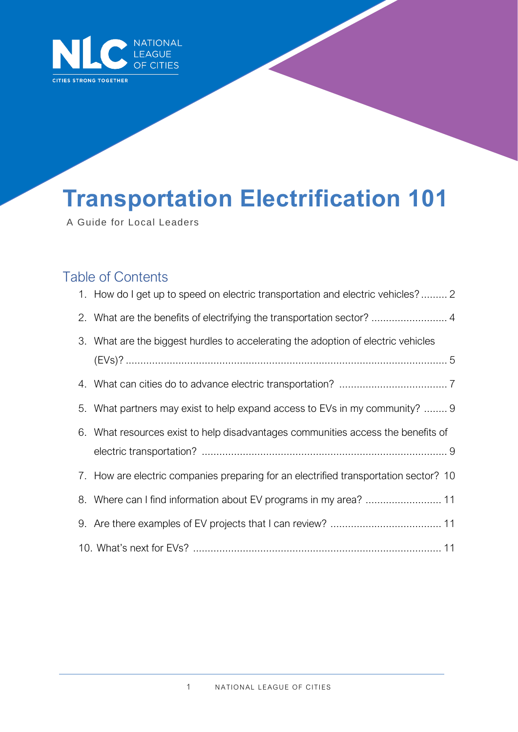

# **Transportation Electrification 101**

A Guide for Local Leaders

## Table of Contents

| 1. How do I get up to speed on electric transportation and electric vehicles? 2      |
|--------------------------------------------------------------------------------------|
| 2. What are the benefits of electrifying the transportation sector?  4               |
| 3. What are the biggest hurdles to accelerating the adoption of electric vehicles    |
|                                                                                      |
| 5. What partners may exist to help expand access to EVs in my community?  9          |
| 6. What resources exist to help disadvantages communities access the benefits of     |
| 7. How are electric companies preparing for an electrified transportation sector? 10 |
|                                                                                      |
|                                                                                      |
|                                                                                      |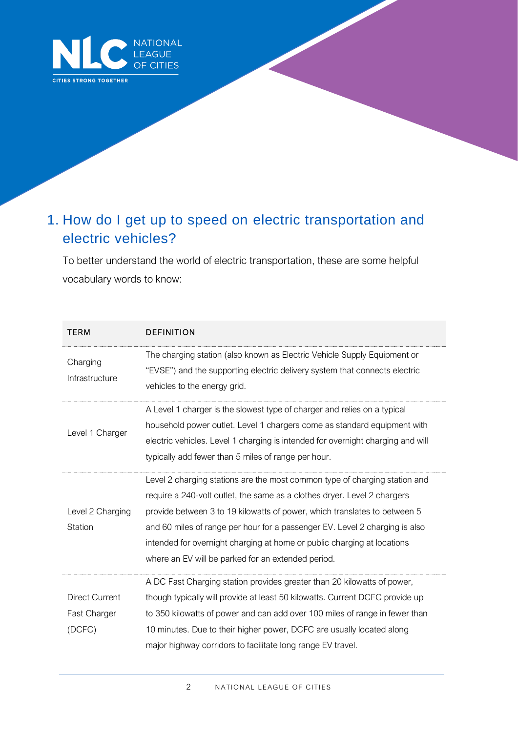

## 1. How do I get up to speed on electric transportation and electric vehicles?

To better understand the world of electric transportation, these are some helpful vocabulary words to know:

| TERM                  | <b>DEFINITION</b>                                                                                                                                      |
|-----------------------|--------------------------------------------------------------------------------------------------------------------------------------------------------|
| Charging              | The charging station (also known as Electric Vehicle Supply Equipment or<br>"EVSE") and the supporting electric delivery system that connects electric |
| Infrastructure        | vehicles to the energy grid.                                                                                                                           |
|                       | A Level 1 charger is the slowest type of charger and relies on a typical                                                                               |
| Level 1 Charger       | household power outlet. Level 1 chargers come as standard equipment with                                                                               |
|                       | electric vehicles. Level 1 charging is intended for overnight charging and will                                                                        |
|                       | typically add fewer than 5 miles of range per hour.                                                                                                    |
|                       | Level 2 charging stations are the most common type of charging station and                                                                             |
|                       | require a 240-volt outlet, the same as a clothes dryer. Level 2 chargers                                                                               |
| Level 2 Charging      | provide between 3 to 19 kilowatts of power, which translates to between 5                                                                              |
| <b>Station</b>        | and 60 miles of range per hour for a passenger EV. Level 2 charging is also                                                                            |
|                       | intended for overnight charging at home or public charging at locations                                                                                |
|                       | where an EV will be parked for an extended period.                                                                                                     |
|                       | A DC Fast Charging station provides greater than 20 kilowatts of power,                                                                                |
| <b>Direct Current</b> | though typically will provide at least 50 kilowatts. Current DCFC provide up                                                                           |
| Fast Charger          | to 350 kilowatts of power and can add over 100 miles of range in fewer than                                                                            |
| (DCFC)                | 10 minutes. Due to their higher power, DCFC are usually located along                                                                                  |
|                       | major highway corridors to facilitate long range EV travel.                                                                                            |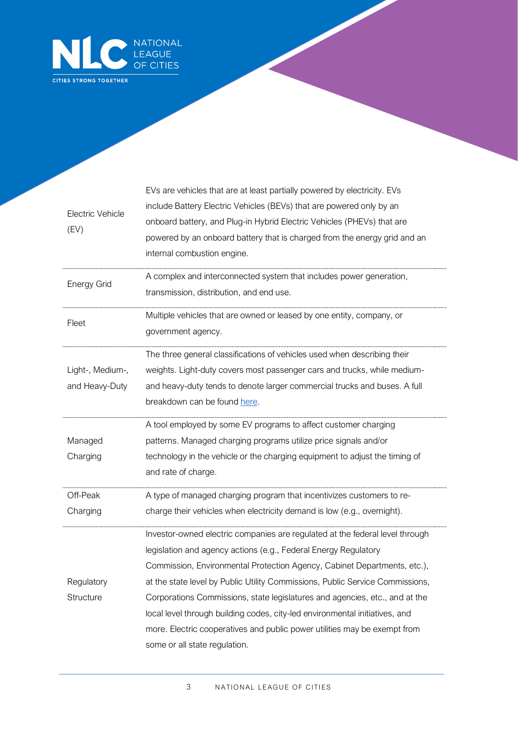

| Electric Vehicle<br>(EV)           | EVs are vehicles that are at least partially powered by electricity. EVs<br>include Battery Electric Vehicles (BEVs) that are powered only by an<br>onboard battery, and Plug-in Hybrid Electric Vehicles (PHEVs) that are<br>powered by an onboard battery that is charged from the energy grid and an<br>internal combustion engine.                                                                                                                                                                                                                                                   |
|------------------------------------|------------------------------------------------------------------------------------------------------------------------------------------------------------------------------------------------------------------------------------------------------------------------------------------------------------------------------------------------------------------------------------------------------------------------------------------------------------------------------------------------------------------------------------------------------------------------------------------|
| <b>Energy Grid</b>                 | A complex and interconnected system that includes power generation,<br>transmission, distribution, and end use.                                                                                                                                                                                                                                                                                                                                                                                                                                                                          |
| Fleet                              | Multiple vehicles that are owned or leased by one entity, company, or<br>government agency.                                                                                                                                                                                                                                                                                                                                                                                                                                                                                              |
| Light-, Medium-,<br>and Heavy-Duty | The three general classifications of vehicles used when describing their<br>weights. Light-duty covers most passenger cars and trucks, while medium-<br>and heavy-duty tends to denote larger commercial trucks and buses. A full<br>breakdown can be found here.                                                                                                                                                                                                                                                                                                                        |
| Managed<br>Charging                | A tool employed by some EV programs to affect customer charging<br>patterns. Managed charging programs utilize price signals and/or<br>technology in the vehicle or the charging equipment to adjust the timing of<br>and rate of charge.                                                                                                                                                                                                                                                                                                                                                |
| Off-Peak<br>Charging               | A type of managed charging program that incentivizes customers to re-<br>charge their vehicles when electricity demand is low (e.g., overnight).                                                                                                                                                                                                                                                                                                                                                                                                                                         |
| Regulatory<br>Structure            | Investor-owned electric companies are regulated at the federal level through<br>legislation and agency actions (e.g., Federal Energy Regulatory<br>Commission, Environmental Protection Agency, Cabinet Departments, etc.),<br>at the state level by Public Utility Commissions, Public Service Commissions,<br>Corporations Commissions, state legislatures and agencies, etc., and at the<br>local level through building codes, city-led environmental initiatives, and<br>more. Electric cooperatives and public power utilities may be exempt from<br>some or all state regulation. |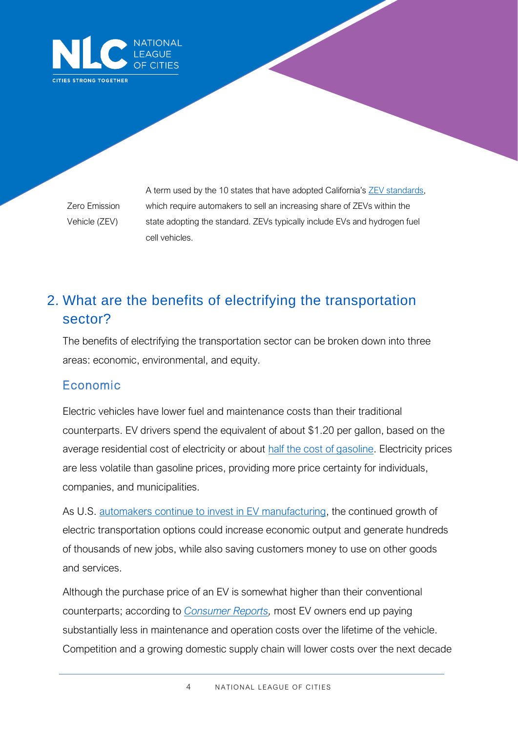

Zero Emission Vehicle (ZEV)

A term used by the 10 states that have adopted California's [ZEV standards,](https://ww2.arb.ca.gov/sites/default/files/2019-10/ca_177_states.pdf) which require automakers to sell an increasing share of ZEVs within the state adopting the standard. ZEVs typically include EVs and hydrogen fuel cell vehicles.

# 2. What are the benefits of electrifying the transportation sector?

The benefits of electrifying the transportation sector can be broken down into three areas: economic, environmental, and equity.

#### Economic

Electric vehicles have lower fuel and maintenance costs than their traditional counterparts. EV drivers spend the equivalent of about \$1.20 per gallon, based on the average residential cost of electricity or about [half the cost of gasoline.](https://www.energy.gov/maps/egallon) Electricity prices are less volatile than gasoline prices, providing more price certainty for individuals, companies, and municipalities.

As U.S. automakers continue to [invest in EV manufacturing,](https://www.atlasevhub.com/weekly_digest/automakers-investing-27-billion-in-domestic-ev-manufacturing/) the continued growth of electric transportation options could increase economic output and generate hundreds of thousands of new jobs, while also saving customers money to use on other goods and services.

Although the purchase price of an EV is somewhat higher than their conventional counterparts; according to *[Consumer Reports,](https://www.consumerreports.org/hybrids-evs/evs-offer-big-savings-over-traditional-gas-powered-cars/)* most EV owners end up paying substantially less in maintenance and operation costs over the lifetime of the vehicle. Competition and a growing domestic supply chain will lower costs over the next decade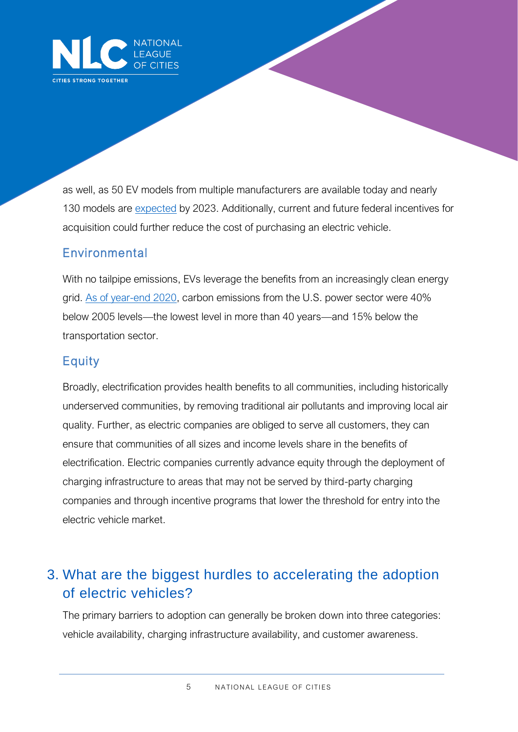

as well, as 50 EV models from multiple manufacturers are available today and nearly 130 models are [expected](https://www.epri.com/research/products/000000003002018113) by 2023. Additionally, current and future federal incentives for acquisition could further reduce the cost of purchasing an electric vehicle.

#### Environmental

With no tailpipe emissions, EVs leverage the benefits from an increasingly clean energy grid. [As of year-end 2020,](https://www.eei.org/issuesandpolicy/electrictransportation/Pages/default.aspx) carbon emissions from the U.S. power sector were 40% below 2005 levels—the lowest level in more than 40 years—and 15% below the transportation sector.

#### **Equity**

Broadly, electrification provides health benefits to all communities, including historically underserved communities, by removing traditional air pollutants and improving local air quality. Further, as electric companies are obliged to serve all customers, they can ensure that communities of all sizes and income levels share in the benefits of electrification. Electric companies currently advance equity through the deployment of charging infrastructure to areas that may not be served by third-party charging companies and through incentive programs that lower the threshold for entry into the electric vehicle market.

## 3. What are the biggest hurdles to accelerating the adoption of electric vehicles?

The primary barriers to adoption can generally be broken down into three categories: vehicle availability, charging infrastructure availability, and customer awareness.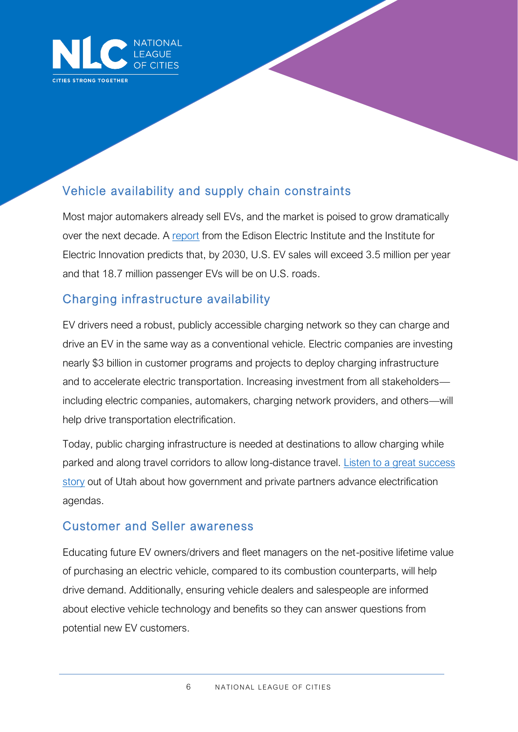

## Vehicle availability and supply chain constraints

Most major automakers already sell EVs, and the market is poised to grow dramatically over the next decade. A [report](https://www.edisonfoundation.net/-/media/Files/IEI/publications/IEI_EEI-EV-Forecast-Report_Nov2018.ashx) from the Edison Electric Institute and the Institute for Electric Innovation predicts that, by 2030, U.S. EV sales will exceed 3.5 million per year and that 18.7 million passenger EVs will be on U.S. roads.

#### Charging infrastructure availability

EV drivers need a robust, publicly accessible charging network so they can charge and drive an EV in the same way as a conventional vehicle. Electric companies are investing nearly \$3 billion in customer programs and projects to deploy charging infrastructure and to accelerate electric transportation. Increasing investment from all stakeholders including electric companies, automakers, charging network providers, and others—will help drive transportation electrification.

Today, public charging infrastructure is needed at destinations to allow charging while parked and along travel corridors to allow long-distance travel. [Listen to a great success](https://www.buzzsprout.com/1030480/5811628-episode-16-rocky-mountain-power-s-james-campbell)  [story](https://www.buzzsprout.com/1030480/5811628-episode-16-rocky-mountain-power-s-james-campbell) out of Utah about how government and private partners advance electrification agendas.

#### Customer and Seller awareness

Educating future EV owners/drivers and fleet managers on the net-positive lifetime value of purchasing an electric vehicle, compared to its combustion counterparts, will help drive demand. Additionally, ensuring vehicle dealers and salespeople are informed about elective vehicle technology and benefits so they can answer questions from potential new EV customers.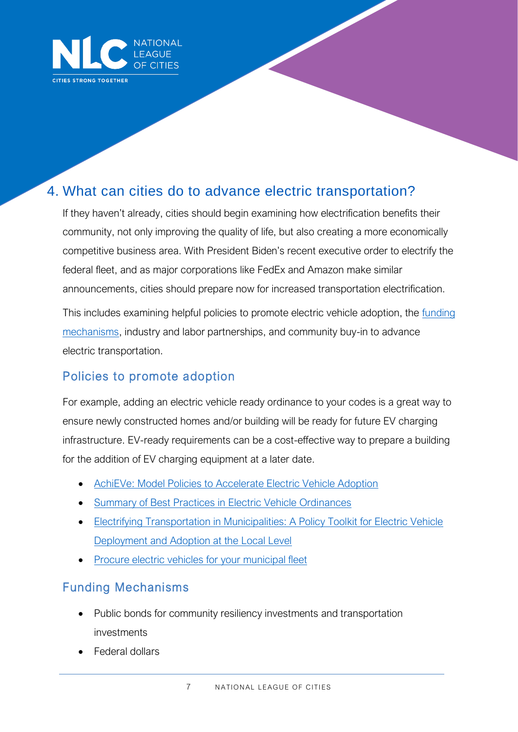

## 4. What can cities do to advance electric transportation?

If they haven't already, cities should begin examining how electrification benefits their community, not only improving the quality of life, but also creating a more economically competitive business area. With President Biden's recent executive order to electrify the federal fleet, and as major corporations like FedEx and Amazon make similar announcements, cities should prepare now for increased transportation electrification.

This includes examining helpful policies to promote electric vehicle adoption, the *funding* [mechanisms,](https://www.electrificationcoalition.org/resource/ev-funding-and-financing-guide/) industry and labor partnerships, and community buy-in to advance electric transportation.

#### Policies to promote adoption

For example, adding an electric vehicle ready ordinance to your codes is a great way to ensure newly constructed homes and/or building will be ready for future EV charging infrastructure. EV-ready requirements can be a cost-effective way to prepare a building for the addition of EV charging equipment at a later date.

- [AchiEVe: Model Policies to Accelerate Electric Vehicle Adoption](https://www.electrificationcoalition.org/resource/achieve/)
- [Summary of Best Practices in Electric Vehicle Ordinances](https://www.betterenergy.org/wp-content/uploads/2019/06/GPI_EV_Ordinance_Summary_web.pdf)
- Electrifying Transportation in Municipalities: A Policy Toolkit for Electric Vehicle [Deployment and Adoption at the](https://www.electrificationcoalition.org/wp-content/uploads/2021/08/Electrifying-Transportation-in-Municipalities.pdf) Local Level
- [Procure electric vehicles for your municipal fleet](https://driveevfleets.org/)

#### Funding Mechanisms

- Public bonds for community resiliency investments and transportation investments
- Federal dollars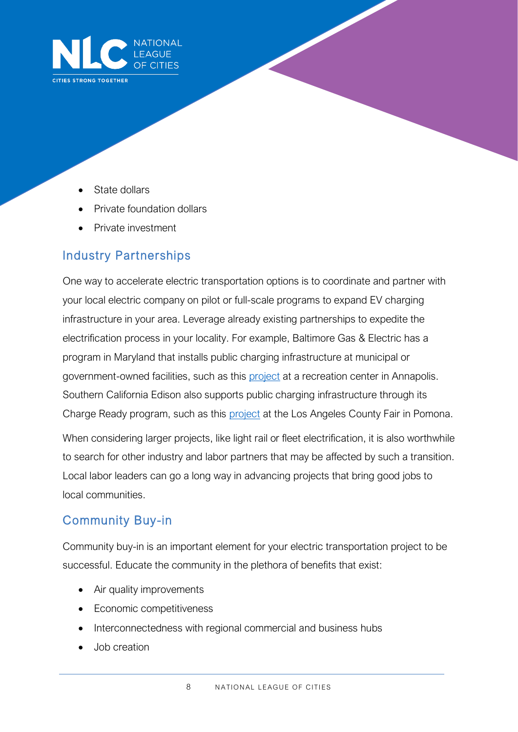

- State dollars
- Private foundation dollars
- Private investment

#### Industry Partnerships

One way to accelerate electric transportation options is to coordinate and partner with your local electric company on pilot or full-scale programs to expand EV charging infrastructure in your area. Leverage already existing partnerships to expedite the electrification process in your locality. For example, Baltimore Gas & Electric has a program in Maryland that installs public charging infrastructure at municipal or government-owned facilities, such as this [project](https://www.bge.com/News/Pages/Press%20Releases/First-BGE-Electric-Vehicle-Charger-Now-Powered-Up.aspx) at a recreation center in Annapolis. Southern California Edison also supports public charging infrastructure through its Charge Ready program, such as this [project](https://energized.edison.com/stories/sce-helps-pomona-fairplex-install-200-ev-chargers) at the Los Angeles County Fair in Pomona.

When considering larger projects, like light rail or fleet electrification, it is also worthwhile to search for other industry and labor partners that may be affected by such a transition. Local labor leaders can go a long way in advancing projects that bring good jobs to local communities.

#### Community Buy-in

Community buy-in is an important element for your electric transportation project to be successful. Educate the community in the plethora of benefits that exist:

- Air quality improvements
- Economic competitiveness
- Interconnectedness with regional commercial and business hubs
- Job creation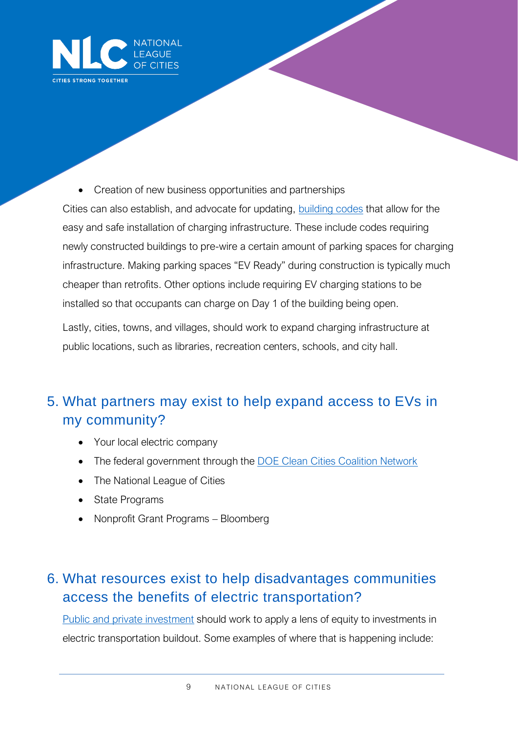

• Creation of new business opportunities and partnerships

Cities can also establish, and advocate for updating, [building codes](https://www.swenergy.org/transportation/electric-vehicles/building-codes) that allow for the easy and safe installation of charging infrastructure. These include codes requiring newly constructed buildings to pre-wire a certain amount of parking spaces for charging infrastructure. Making parking spaces "EV Ready" during construction is typically much cheaper than retrofits. Other options include requiring EV charging stations to be installed so that occupants can charge on Day 1 of the building being open.

Lastly, cities, towns, and villages, should work to expand charging infrastructure at public locations, such as libraries, recreation centers, schools, and city hall.

# 5. What partners may exist to help expand access to EVs in my community?

- Your local electric company
- The federal government through the [DOE Clean Cities Coalition Network](https://cleancities.energy.gov/)
- The National League of Cities
- State Programs
- Nonprofit Grant Programs Bloomberg

## 6. What resources exist to help disadvantages communities access the benefits of electric transportation?

[Public and private investment](https://www.atlasevhub.com/data_story/utilities-investing-766-million-in-underserved-communities/) should work to apply a lens of equity to investments in electric transportation buildout. Some examples of where that is happening include: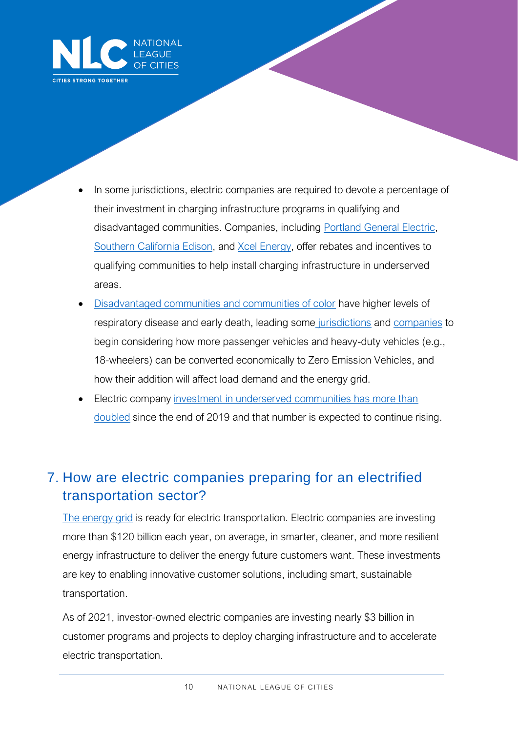

- In some jurisdictions, electric companies are required to devote a percentage of their investment in charging infrastructure programs in qualifying and disadvantaged communities. Companies, including [Portland General Electric,](https://portlandgeneral.com/news/2021-02-01-portland-general-electric-to-provide-rebates-to-customers-who) [Southern California Edison,](https://cars.sce.com/incentives/) and [Xcel Energy,](https://www.wpr.org/state-regulators-approve-electric-vehicle-programs-2-wisconsins-largest-electric-utilities) offer rebates and incentives to qualifying communities to help install charging infrastructure in underserved areas.
- [Disadvantaged communities and communities of color](https://projects.iq.harvard.edu/covid-pm) have higher levels of respiratory disease and early death, leading some [jurisdictions](https://whyy.org/articles/n-j-commits-45m-to-electrify-heavy-duty-vehicles-used-in-cities/) and [companies](https://www.utilitydive.com/news/new-jersey-oks-psegs-166m-ev-infrastructure-program-omits-heavy-duty-ve/594111/) to begin considering how more passenger vehicles and heavy-duty vehicles (e.g., 18-wheelers) can be converted economically to Zero Emission Vehicles, and how their addition will affect load demand and the energy grid.
- Electric company investment in underserved communities has more than [doubled](https://www.atlasevhub.com/materials/electric-utility-filings/) since the end of 2019 and that number is expected to continue rising.

## 7. How are electric companies preparing for an electrified transportation sector?

[The energy grid](https://www.eei.org/issuesandpolicy/electrictransportation/Documents/Electric%20Transportation%20Benefits%20Customers,%20Communities,%20and%20the%20Environment_2021.pdf) is ready for electric transportation. Electric companies are investing more than \$120 billion each year, on average, in smarter, cleaner, and more resilient energy infrastructure to deliver the energy future customers want. These investments are key to enabling innovative customer solutions, including smart, sustainable transportation.

As of 2021, investor-owned electric companies are investing nearly \$3 billion in customer programs and projects to deploy charging infrastructure and to accelerate electric transportation.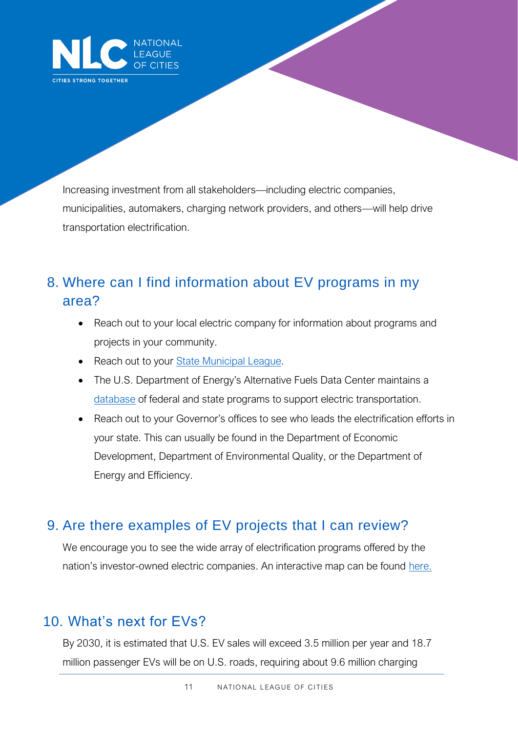

Increasing investment from all stakeholders—including electric companies, municipalities, automakers, charging network providers, and others—will help drive transportation electrification.

## 8. Where can I find information about EV programs in my area?

- Reach out to your local electric company for information about programs and projects in your community.
- Reach out to your **State Municipal League.**
- The U.S. Department of Energy's Alternative Fuels Data Center maintains a [database](https://afdc.energy.gov/laws/) of federal and state programs to support electric transportation.
- Reach out to your Governor's offices to see who leads the electrification efforts in your state. This can usually be found in the Department of Economic Development, Department of Environmental Quality, or the Department of Energy and Efficiency.

#### 9. Are there examples of EV projects that I can review?

We encourage you to see the wide array of electrification programs offered by the nation's investor-owned electric companies. An interactive map can be found [here.](https://www.eei.org/issuesandpolicy/electrictransportation/Pages/default.aspx)

### 10. What's next for EVs?

By 2030, it is estimated that U.S. EV sales will exceed 3.5 million per year and 18.7 million passenger EVs will be on U.S. roads, requiring about 9.6 million charging